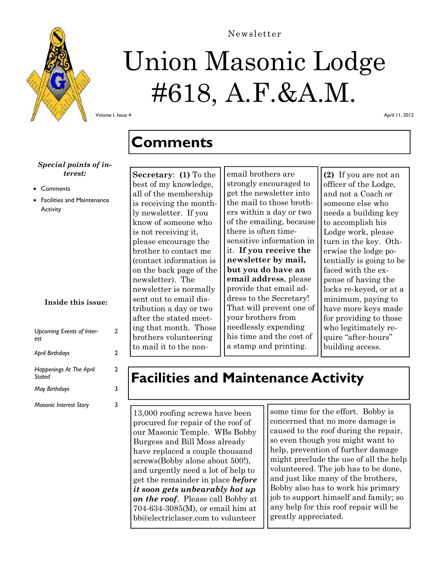

# Union Masonic Lodge #618, A.F.&A.M.

Newsletter

Volume I, Issue 4

April 11, 2012

### **Comments**

#### *Special points of interest:*

- **Comments**
- Facilities and Maintenance **Activity**

#### **Inside this issue:**

| <b>Upcoming Events of Inter-</b><br>est  | 2 |
|------------------------------------------|---|
| April Birthdays                          | 2 |
| <b>Happenings At The April</b><br>Stated | 2 |
| <b>May Birthdays</b>                     |   |
| <b>Masonic Interest Story</b>            |   |

**Secretary**: **(1)** To the best of my knowledge, all of the membership is receiving the monthly newsletter. If you know of someone who is not receiving it, please encourage the brother to contact me (contact information is on the back page of the newsletter). The newsletter is normally sent out to email distribution a day or two after the stated meeting that month. Those brothers volunteering to mail it to the non-

email brothers are strongly encouraged to get the newsletter into the mail to those brothers within a day or two of the emailing, because there is often timesensitive information in it. **If you receive the newsletter by mail, but you do have an email address**, please provide that email address to the Secretary! That will prevent one of your brothers from needlessly expending his time and the cost of a stamp and printing.

**(2)** If you are not an officer of the Lodge, and not a Coach or someone else who needs a building key to accomplish his Lodge work, please turn in the key. Otherwise the lodge potentially is going to be faced with the expense of having the locks re-keyed, or at a minimum, paying to have more keys made for providing to those who legitimately require "after-hours" building access.

## **Facilities and Maintenance Activity**

13,000 roofing screws have been procured for repair of the roof of our Masonic Temple. WBs Bobby Burgess and Bill Moss already have replaced a couple thousand screws(Bobby alone about 500!), and urgently need a lot of help to get the remainder in place *before it soon gets unbearably hot up on the roof*. Please call Bobby at 704-634-3085(M), or email him at bb@electriclaser.com to volunteer

some time for the effort. Bobby is concerned that no more damage is caused to the roof during the repair, so even though you might want to help, prevention of further damage might preclude the use of all the help volunteered. The job has to be done, and just like many of the brothers, Bobby also has to work his primary job to support himself and family; so any help for this roof repair will be greatly appreciated.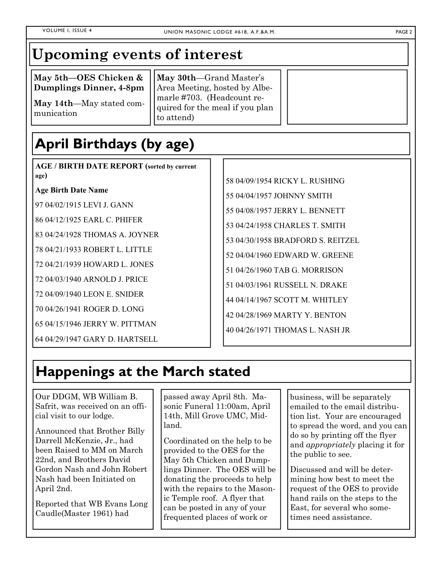### **Upcoming events of interest**

**May 5th—OES Chicken & Dumplings Dinner, 4-8pm** 

**May 14th**—May stated communication

**May 30th**—Grand Master's Area Meeting, hosted by Albemarle #703. (Headcount required for the meal if you plan to attend)

# **April Birthdays (by age)**

**AGE / BIRTH DATE REPORT (sorted by current age)** 

**Age Birth Date Name** 

97 04/02/1915 LEVI J. GANN

86 04/12/1925 EARL C. PHIFER

83 04/24/1928 THOMAS A. JOYNER

78 04/21/1933 ROBERT L. LITTLE

72 04/21/1939 HOWARD L. JONES

72 04/03/1940 ARNOLD J. PRICE

72 04/09/1940 LEON E. SNIDER

70 04/26/1941 ROGER D. LONG

65 04/15/1946 JERRY W. PITTMAN

64 04/29/1947 GARY D. HARTSELL

58 04/09/1954 RICKY L. RUSHING 55 04/04/1957 JOHNNY SMITH 55 04/08/1957 JERRY L. BENNETT 53 04/24/1958 CHARLES T. SMITH 53 04/30/1958 BRADFORD S. REITZEL 52 04/04/1960 EDWARD W. GREENE 51 04/26/1960 TAB G. MORRISON 51 04/03/1961 RUSSELL N. DRAKE 44 04/14/1967 SCOTT M. WHITLEY 42 04/28/1969 MARTY Y. BENTON 40 04/26/1971 THOMAS L. NASH JR

### **Happenings at the March stated**

Our DDGM, WB William B. Safrit, was received on an official visit to our lodge.

Announced that Brother Billy Darrell McKenzie, Jr., had been Raised to MM on March 22nd, and Brothers David Gordon Nash and John Robert Nash had been Initiated on April 2nd.

Reported that WB Evans Long Caudle(Master 1961) had

passed away April 8th. Masonic Funeral 11:00am, April 14th, Mill Grove UMC, Midland.

Coordinated on the help to be provided to the OES for the May 5th Chicken and Dumplings Dinner. The OES will be donating the proceeds to help with the repairs to the Masonic Temple roof. A flyer that can be posted in any of your frequented places of work or

business, will be separately emailed to the email distribution list. Your are encouraged to spread the word, and you can do so by printing off the flyer and *appropriately* placing it for the public to see.

Discussed and will be determining how best to meet the request of the OES to provide hand rails on the steps to the East, for several who sometimes need assistance.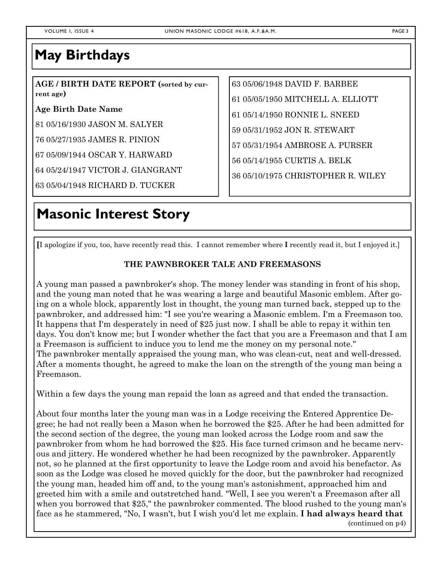### **May Birthdays**

**AGE / BIRTH DATE REPORT (sorted by current age)** 

**Age Birth Date Name** 

81 05/16/1930 JASON M. SALYER

76 05/27/1935 JAMES R. PINION

67 05/09/1944 OSCAR Y. HARWARD

64 05/24/1947 VICTOR J. GIANGRANT

63 05/04/1948 RICHARD D. TUCKER

### **Masonic Interest Story**

63 05/06/1948 DAVID F. BARBEE 61 05/05/1950 MITCHELL A. ELLIOTT 61 05/14/1950 RONNIE L. SNEED 59 05/31/1952 JON R. STEWART 57 05/31/1954 AMBROSE A. PURSER 56 05/14/1955 CURTIS A. BELK 36 05/10/1975 CHRISTOPHER R. WILEY

**[**I apologize if you, too, have recently read this. I cannot remember where **I** recently read it, but I enjoyed it.]

#### **THE PAWNBROKER TALE AND FREEMASONS**

A young man passed a pawnbroker's shop. The money lender was standing in front of his shop, and the young man noted that he was wearing a large and beautiful Masonic emblem. After going on a whole block, apparently lost in thought, the young man turned back, stepped up to the pawnbroker, and addressed him: "I see you're wearing a Masonic emblem. I'm a Freemason too. It happens that I'm desperately in need of \$25 just now. I shall be able to repay it within ten days. You don't know me; but I wonder whether the fact that you are a Freemason and that I am a Freemason is sufficient to induce you to lend me the money on my personal note." The pawnbroker mentally appraised the young man, who was clean-cut, neat and well-dressed. After a moments thought, he agreed to make the loan on the strength of the young man being a Freemason.

Within a few days the young man repaid the loan as agreed and that ended the transaction.

About four months later the young man was in a Lodge receiving the Entered Apprentice Degree; he had not really been a Mason when he borrowed the \$25. After he had been admitted for the second section of the degree, the young man looked across the Lodge room and saw the pawnbroker from whom he had borrowed the \$25. His face turned crimson and he became nervous and jittery. He wondered whether he had been recognized by the pawnbroker. Apparently not, so he planned at the first opportunity to leave the Lodge room and avoid his benefactor. As soon as the Lodge was closed he moved quickly for the door, but the pawnbroker had recognized the young man, headed him off and, to the young man's astonishment, approached him and greeted him with a smile and outstretched hand. "Well, I see you weren't a Freemason after all when you borrowed that \$25," the pawnbroker commented. The blood rushed to the young man's face as he stammered, "No, I wasn't, but I wish you'd let me explain. **I had always heard that** (continued on p4)